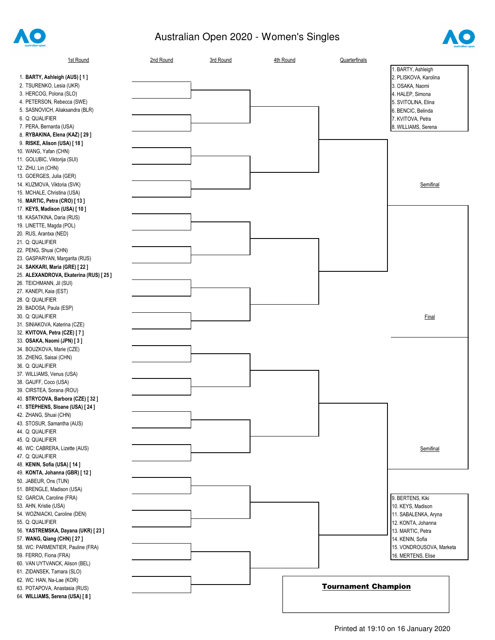

## Australian Open 2020 - Women's Singles